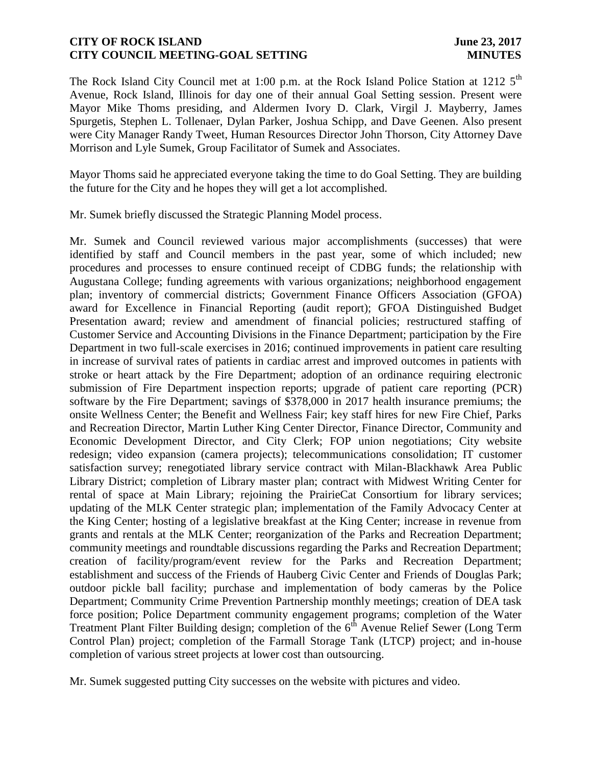## **CITY OF ROCK ISLAND June 23, 2017 CITY COUNCIL MEETING-GOAL SETTING MINUTES**

The Rock Island City Council met at 1:00 p.m. at the Rock Island Police Station at 1212 5<sup>th</sup> Avenue, Rock Island, Illinois for day one of their annual Goal Setting session. Present were Mayor Mike Thoms presiding, and Aldermen Ivory D. Clark, Virgil J. Mayberry, James Spurgetis, Stephen L. Tollenaer, Dylan Parker, Joshua Schipp, and Dave Geenen. Also present were City Manager Randy Tweet, Human Resources Director John Thorson, City Attorney Dave Morrison and Lyle Sumek, Group Facilitator of Sumek and Associates.

Mayor Thoms said he appreciated everyone taking the time to do Goal Setting. They are building the future for the City and he hopes they will get a lot accomplished.

Mr. Sumek briefly discussed the Strategic Planning Model process.

Mr. Sumek and Council reviewed various major accomplishments (successes) that were identified by staff and Council members in the past year, some of which included; new procedures and processes to ensure continued receipt of CDBG funds; the relationship with Augustana College; funding agreements with various organizations; neighborhood engagement plan; inventory of commercial districts; Government Finance Officers Association (GFOA) award for Excellence in Financial Reporting (audit report); GFOA Distinguished Budget Presentation award; review and amendment of financial policies; restructured staffing of Customer Service and Accounting Divisions in the Finance Department; participation by the Fire Department in two full-scale exercises in 2016; continued improvements in patient care resulting in increase of survival rates of patients in cardiac arrest and improved outcomes in patients with stroke or heart attack by the Fire Department; adoption of an ordinance requiring electronic submission of Fire Department inspection reports; upgrade of patient care reporting (PCR) software by the Fire Department; savings of \$378,000 in 2017 health insurance premiums; the onsite Wellness Center; the Benefit and Wellness Fair; key staff hires for new Fire Chief, Parks and Recreation Director, Martin Luther King Center Director, Finance Director, Community and Economic Development Director, and City Clerk; FOP union negotiations; City website redesign; video expansion (camera projects); telecommunications consolidation; IT customer satisfaction survey; renegotiated library service contract with Milan-Blackhawk Area Public Library District; completion of Library master plan; contract with Midwest Writing Center for rental of space at Main Library; rejoining the PrairieCat Consortium for library services; updating of the MLK Center strategic plan; implementation of the Family Advocacy Center at the King Center; hosting of a legislative breakfast at the King Center; increase in revenue from grants and rentals at the MLK Center; reorganization of the Parks and Recreation Department; community meetings and roundtable discussions regarding the Parks and Recreation Department; creation of facility/program/event review for the Parks and Recreation Department; establishment and success of the Friends of Hauberg Civic Center and Friends of Douglas Park; outdoor pickle ball facility; purchase and implementation of body cameras by the Police Department; Community Crime Prevention Partnership monthly meetings; creation of DEA task force position; Police Department community engagement programs; completion of the Water Treatment Plant Filter Building design; completion of the  $6<sup>th</sup>$  Avenue Relief Sewer (Long Term Control Plan) project; completion of the Farmall Storage Tank (LTCP) project; and in-house completion of various street projects at lower cost than outsourcing.

Mr. Sumek suggested putting City successes on the website with pictures and video.